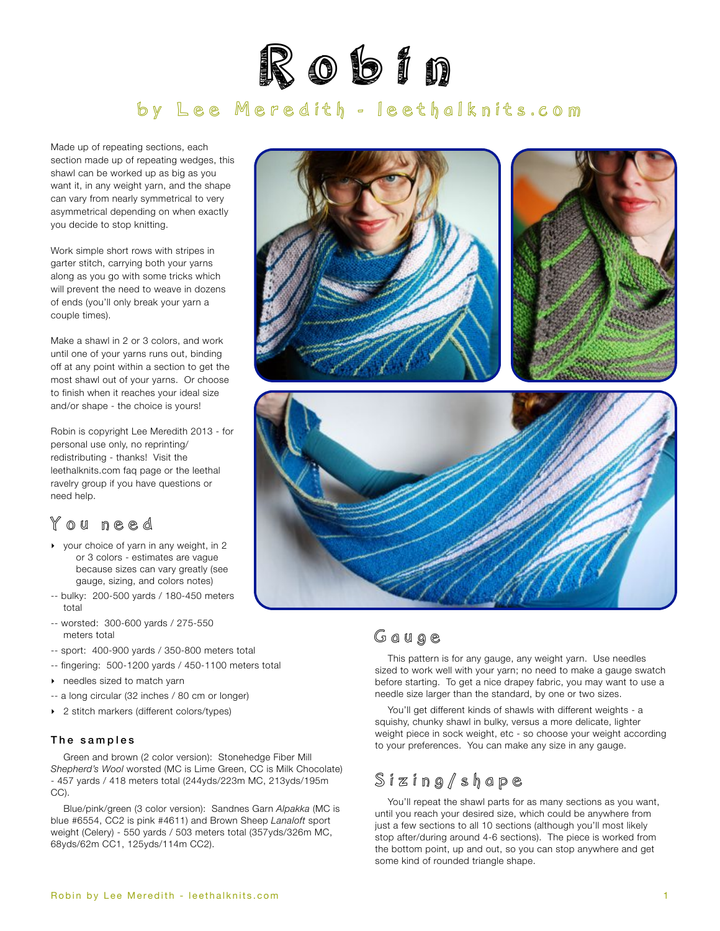

# by Lee Meredith - [leethalknits.com](http://www.leethalknits.com)

Made up of repeating sections, each section made up of repeating wedges, this shawl can be worked up as big as you want it, in any weight yarn, and the shape can vary from nearly symmetrical to very asymmetrical depending on when exactly you decide to stop knitting.

Work simple short rows with stripes in garter stitch, carrying both your yarns along as you go with some tricks which will prevent the need to weave in dozens of ends (you'll only break your yarn a couple times).

Make a shawl in 2 or 3 colors, and work until one of your yarns runs out, binding off at any point within a section to get the most shawl out of your yarns. Or choose to finish when it reaches your ideal size and/or shape - the choice is yours!

Robin is copyright Lee Meredith 2013 - for personal use only, no reprinting/ redistributing - thanks! Visit the leethalknits.com faq page or the leethal ravelry group if you have questions or need help.

# <span id="page-0-0"></span>You need

- ‣ your choice of yarn in any weight, in 2 or 3 colors - estimates are vague because sizes can vary greatly (see gauge, sizing, and colors notes)
- -- bulky: 200-500 yards / 180-450 meters total
- -- worsted: 300-600 yards / 275-550 meters total
- -- sport: 400-900 yards / 350-800 meters total
- -- fingering: 500-1200 yards / 450-1100 meters total
- ‣ needles sized to match yarn
- -- a long circular (32 inches / 80 cm or longer)
- ▶ 2 stitch markers (different colors/types)

#### The samples

Green and brown (2 color version): Stonehedge Fiber Mill *Shepherd's Wool* worsted (MC is Lime Green, CC is Milk Chocolate) - 457 yards / 418 meters total (244yds/223m MC, 213yds/195m CC).

Blue/pink/green (3 color version): Sandnes Garn *Alpakka* (MC is blue #6554, CC2 is pink #4611) and Brown Sheep *Lanaloft* sport weight (Celery) - 550 yards / 503 meters total (357yds/326m MC, 68yds/62m CC1, 125yds/114m CC2).



# Gauge

This pattern is for any gauge, any weight yarn. Use needles sized to work well with your yarn; no need to make a gauge swatch before starting. To get a nice drapey fabric, you may want to use a needle size larger than the standard, by one or two sizes.

You'll get different kinds of shawls with different weights - a squishy, chunky shawl in bulky, versus a more delicate, lighter weight piece in sock weight, etc - so choose your weight according to your preferences. You can make any size in any gauge.

# <span id="page-0-1"></span>Sizing/shape

You'll repeat the shawl parts for as many sections as you want, until you reach your desired size, which could be anywhere from just a few sections to all 10 sections (although you'll most likely stop after/during around 4-6 sections). The piece is worked from the bottom point, up and out, so you can stop anywhere and get some kind of rounded triangle shape.